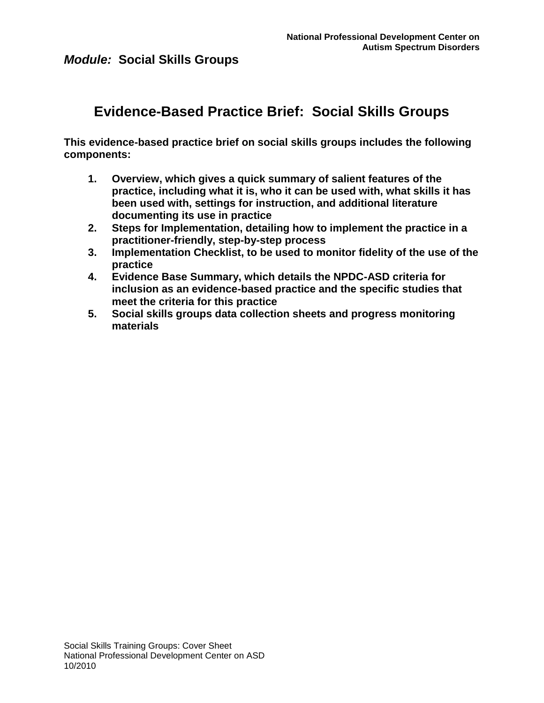# **Evidence-Based Practice Brief: Social Skills Groups**

**This evidence-based practice brief on social skills groups includes the following components:**

- **1. Overview, which gives a quick summary of salient features of the practice, including what it is, who it can be used with, what skills it has been used with, settings for instruction, and additional literature documenting its use in practice**
- **2. Steps for Implementation, detailing how to implement the practice in a practitioner-friendly, step-by-step process**
- **3. Implementation Checklist, to be used to monitor fidelity of the use of the practice**
- **4. Evidence Base Summary, which details the NPDC-ASD criteria for inclusion as an evidence-based practice and the specific studies that meet the criteria for this practice**
- **5. Social skills groups data collection sheets and progress monitoring materials**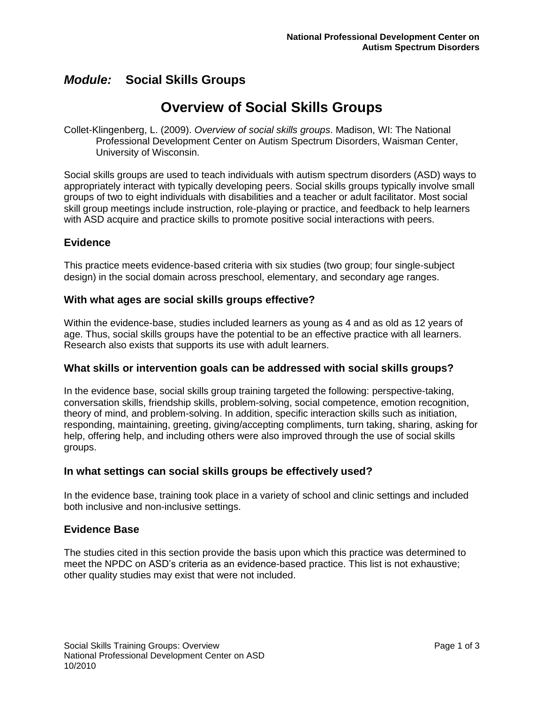# **Overview of Social Skills Groups**

Collet-Klingenberg, L. (2009). *Overview of social skills groups*. Madison, WI: The National Professional Development Center on Autism Spectrum Disorders, Waisman Center, University of Wisconsin.

Social skills groups are used to teach individuals with autism spectrum disorders (ASD) ways to appropriately interact with typically developing peers. Social skills groups typically involve small groups of two to eight individuals with disabilities and a teacher or adult facilitator. Most social skill group meetings include instruction, role-playing or practice, and feedback to help learners with ASD acquire and practice skills to promote positive social interactions with peers.

### **Evidence**

This practice meets evidence-based criteria with six studies (two group; four single-subject design) in the social domain across preschool, elementary, and secondary age ranges.

### **With what ages are social skills groups effective?**

Within the evidence-base, studies included learners as young as 4 and as old as 12 years of age. Thus, social skills groups have the potential to be an effective practice with all learners. Research also exists that supports its use with adult learners.

### **What skills or intervention goals can be addressed with social skills groups?**

In the evidence base, social skills group training targeted the following: perspective-taking, conversation skills, friendship skills, problem-solving, social competence, emotion recognition, theory of mind, and problem-solving. In addition, specific interaction skills such as initiation, responding, maintaining, greeting, giving/accepting compliments, turn taking, sharing, asking for help, offering help, and including others were also improved through the use of social skills groups.

### **In what settings can social skills groups be effectively used?**

In the evidence base, training took place in a variety of school and clinic settings and included both inclusive and non-inclusive settings.

### **Evidence Base**

The studies cited in this section provide the basis upon which this practice was determined to meet the NPDC on ASD's criteria as an evidence-based practice. This list is not exhaustive; other quality studies may exist that were not included.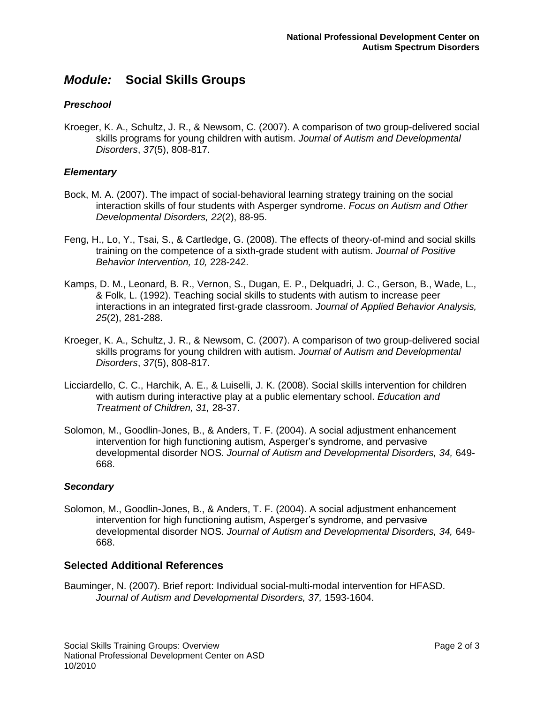### *Preschool*

Kroeger, K. A., Schultz, J. R., & Newsom, C. (2007). A comparison of two group-delivered social skills programs for young children with autism. *Journal of Autism and Developmental Disorders*, *37*(5), 808-817.

### *Elementary*

- Bock, M. A. (2007). The impact of social-behavioral learning strategy training on the social interaction skills of four students with Asperger syndrome. *Focus on Autism and Other Developmental Disorders, 22*(2), 88-95.
- Feng, H., Lo, Y., Tsai, S., & Cartledge, G. (2008). The effects of theory-of-mind and social skills training on the competence of a sixth-grade student with autism. *Journal of Positive Behavior Intervention, 10,* 228-242.
- Kamps, D. M., Leonard, B. R., Vernon, S., Dugan, E. P., Delquadri, J. C., Gerson, B., Wade, L., & Folk, L. (1992). Teaching social skills to students with autism to increase peer interactions in an integrated first-grade classroom. *Journal of Applied Behavior Analysis, 25*(2), 281-288.
- Kroeger, K. A., Schultz, J. R., & Newsom, C. (2007). A comparison of two group-delivered social skills programs for young children with autism. *Journal of Autism and Developmental Disorders*, *37*(5), 808-817.
- Licciardello, C. C., Harchik, A. E., & Luiselli, J. K. (2008). Social skills intervention for children with autism during interactive play at a public elementary school. *Education and Treatment of Children, 31,* 28-37.
- Solomon, M., Goodlin-Jones, B., & Anders, T. F. (2004). A social adjustment enhancement intervention for high functioning autism, Asperger's syndrome, and pervasive developmental disorder NOS. *Journal of Autism and Developmental Disorders, 34,* 649- 668.

#### *Secondary*

Solomon, M., Goodlin-Jones, B., & Anders, T. F. (2004). A social adjustment enhancement intervention for high functioning autism, Asperger's syndrome, and pervasive developmental disorder NOS. *Journal of Autism and Developmental Disorders, 34,* 649- 668.

### **Selected Additional References**

Bauminger, N. (2007). Brief report: Individual social-multi-modal intervention for HFASD. *Journal of Autism and Developmental Disorders, 37,* 1593-1604.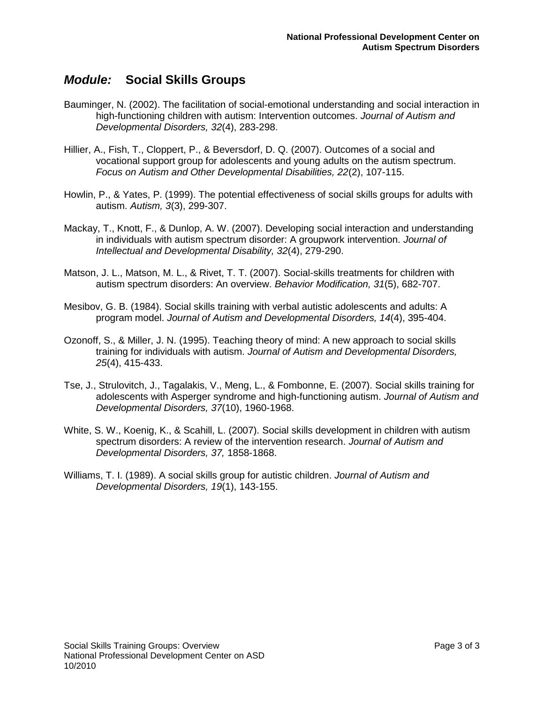- Bauminger, N. (2002). The facilitation of social-emotional understanding and social interaction in high-functioning children with autism: Intervention outcomes. *Journal of Autism and Developmental Disorders, 32*(4), 283-298.
- Hillier, A., Fish, T., Cloppert, P., & Beversdorf, D. Q. (2007). Outcomes of a social and vocational support group for adolescents and young adults on the autism spectrum. *Focus on Autism and Other Developmental Disabilities, 22*(2), 107-115.
- Howlin, P., & Yates, P. (1999). The potential effectiveness of social skills groups for adults with autism. *Autism, 3*(3), 299-307.
- Mackay, T., Knott, F., & Dunlop, A. W. (2007). Developing social interaction and understanding in individuals with autism spectrum disorder: A groupwork intervention. *Journal of Intellectual and Developmental Disability, 32*(4), 279-290.
- Matson, J. L., Matson, M. L., & Rivet, T. T. (2007). Social-skills treatments for children with autism spectrum disorders: An overview. *Behavior Modification, 31*(5), 682-707.
- Mesibov, G. B. (1984). Social skills training with verbal autistic adolescents and adults: A program model. *Journal of Autism and Developmental Disorders, 14*(4), 395-404.
- Ozonoff, S., & Miller, J. N. (1995). Teaching theory of mind: A new approach to social skills training for individuals with autism. *Journal of Autism and Developmental Disorders, 25*(4), 415-433.
- Tse, J., Strulovitch, J., Tagalakis, V., Meng, L., & Fombonne, E. (2007). Social skills training for adolescents with Asperger syndrome and high-functioning autism. *Journal of Autism and Developmental Disorders, 37*(10), 1960-1968.
- White, S. W., Koenig, K., & Scahill, L. (2007). Social skills development in children with autism spectrum disorders: A review of the intervention research. *Journal of Autism and Developmental Disorders, 37,* 1858-1868.
- Williams, T. I. (1989). A social skills group for autistic children. *Journal of Autism and Developmental Disorders, 19*(1), 143-155.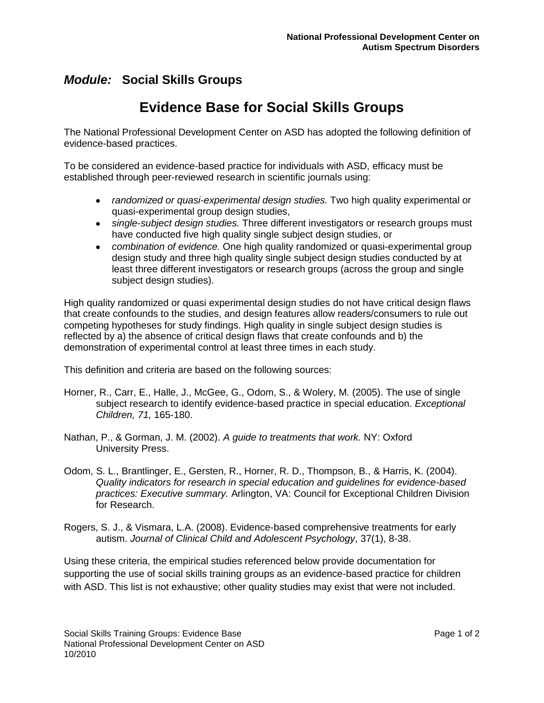# **Evidence Base for Social Skills Groups**

The National Professional Development Center on ASD has adopted the following definition of evidence-based practices.

To be considered an evidence-based practice for individuals with ASD, efficacy must be established through peer-reviewed research in scientific journals using:

- *randomized or quasi-experimental design studies.* Two high quality experimental or quasi-experimental group design studies,
- *single-subject design studies.* Three different investigators or research groups must have conducted five high quality single subject design studies, or
- *combination of evidence.* One high quality randomized or quasi-experimental group design study and three high quality single subject design studies conducted by at least three different investigators or research groups (across the group and single subject design studies).

High quality randomized or quasi experimental design studies do not have critical design flaws that create confounds to the studies, and design features allow readers/consumers to rule out competing hypotheses for study findings. High quality in single subject design studies is reflected by a) the absence of critical design flaws that create confounds and b) the demonstration of experimental control at least three times in each study.

This definition and criteria are based on the following sources:

- Horner, R., Carr, E., Halle, J., McGee, G., Odom, S., & Wolery, M. (2005). The use of single subject research to identify evidence-based practice in special education. *Exceptional Children, 71,* 165-180.
- Nathan, P., & Gorman, J. M. (2002). *A guide to treatments that work.* NY: Oxford University Press.
- Odom, S. L., Brantlinger, E., Gersten, R., Horner, R. D., Thompson, B., & Harris, K. (2004). *Quality indicators for research in special education and guidelines for evidence-based practices: Executive summary.* Arlington, VA: Council for Exceptional Children Division for Research.
- Rogers, S. J., & Vismara, L.A. (2008). Evidence-based comprehensive treatments for early autism. *Journal of Clinical Child and Adolescent Psychology*, 37(1), 8-38.

Using these criteria, the empirical studies referenced below provide documentation for supporting the use of social skills training groups as an evidence-based practice for children with ASD. This list is not exhaustive; other quality studies may exist that were not included.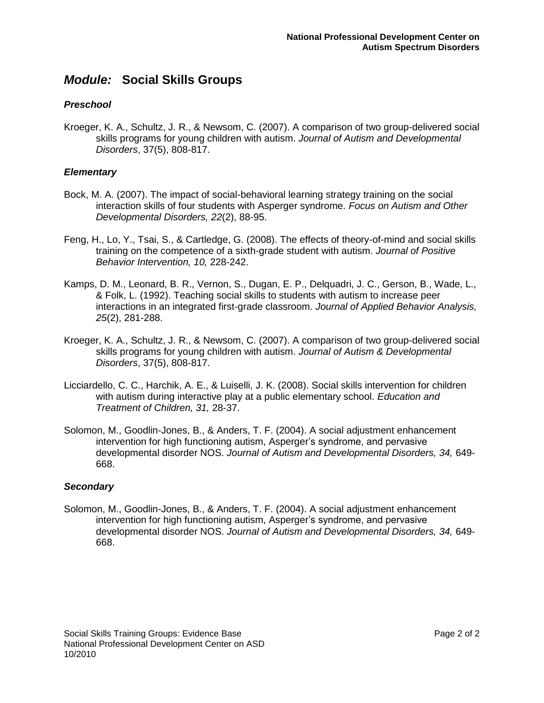### *Preschool*

Kroeger, K. A., Schultz, J. R., & Newsom, C. (2007). A comparison of two group-delivered social skills programs for young children with autism. *Journal of Autism and Developmental Disorders*, 37(5), 808-817.

### *Elementary*

- Bock, M. A. (2007). The impact of social-behavioral learning strategy training on the social interaction skills of four students with Asperger syndrome. *Focus on Autism and Other Developmental Disorders, 22*(2), 88-95.
- Feng, H., Lo, Y., Tsai, S., & Cartledge, G. (2008). The effects of theory-of-mind and social skills training on the competence of a sixth-grade student with autism. *Journal of Positive Behavior Intervention, 10,* 228-242.
- Kamps, D. M., Leonard, B. R., Vernon, S., Dugan, E. P., Delquadri, J. C., Gerson, B., Wade, L., & Folk, L. (1992). Teaching social skills to students with autism to increase peer interactions in an integrated first-grade classroom. *Journal of Applied Behavior Analysis, 25*(2), 281-288.
- Kroeger, K. A., Schultz, J. R., & Newsom, C. (2007). A comparison of two group-delivered social skills programs for young children with autism. *Journal of Autism & Developmental Disorders*, 37(5), 808-817.
- Licciardello, C. C., Harchik, A. E., & Luiselli, J. K. (2008). Social skills intervention for children with autism during interactive play at a public elementary school. *Education and Treatment of Children, 31,* 28-37.
- Solomon, M., Goodlin-Jones, B., & Anders, T. F. (2004). A social adjustment enhancement intervention for high functioning autism, Asperger's syndrome, and pervasive developmental disorder NOS. *Journal of Autism and Developmental Disorders, 34,* 649- 668.

### *Secondary*

Solomon, M., Goodlin-Jones, B., & Anders, T. F. (2004). A social adjustment enhancement intervention for high functioning autism, Asperger's syndrome, and pervasive developmental disorder NOS. *Journal of Autism and Developmental Disorders, 34,* 649- 668.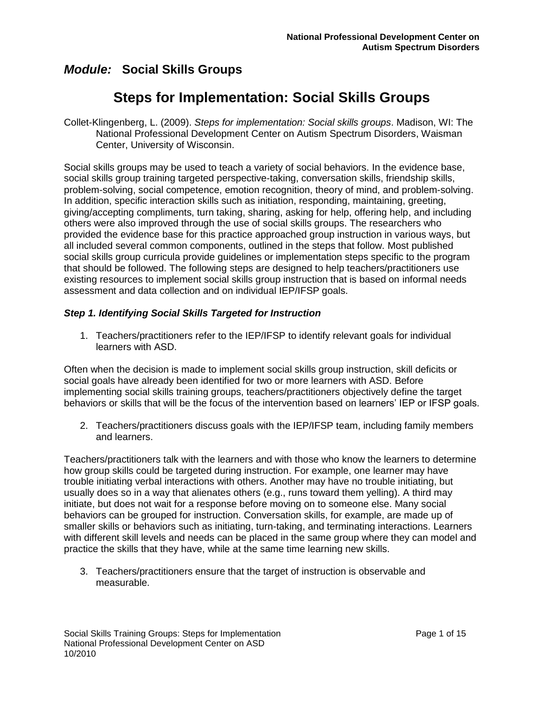# **Steps for Implementation: Social Skills Groups**

Collet-Klingenberg, L. (2009). *Steps for implementation: Social skills groups*. Madison, WI: The National Professional Development Center on Autism Spectrum Disorders, Waisman Center, University of Wisconsin.

Social skills groups may be used to teach a variety of social behaviors. In the evidence base, social skills group training targeted perspective-taking, conversation skills, friendship skills, problem-solving, social competence, emotion recognition, theory of mind, and problem-solving. In addition, specific interaction skills such as initiation, responding, maintaining, greeting, giving/accepting compliments, turn taking, sharing, asking for help, offering help, and including others were also improved through the use of social skills groups. The researchers who provided the evidence base for this practice approached group instruction in various ways, but all included several common components, outlined in the steps that follow. Most published social skills group curricula provide guidelines or implementation steps specific to the program that should be followed. The following steps are designed to help teachers/practitioners use existing resources to implement social skills group instruction that is based on informal needs assessment and data collection and on individual IEP/IFSP goals.

### *Step 1. Identifying Social Skills Targeted for Instruction*

1. Teachers/practitioners refer to the IEP/IFSP to identify relevant goals for individual learners with ASD.

Often when the decision is made to implement social skills group instruction, skill deficits or social goals have already been identified for two or more learners with ASD. Before implementing social skills training groups, teachers/practitioners objectively define the target behaviors or skills that will be the focus of the intervention based on learners" IEP or IFSP goals.

2. Teachers/practitioners discuss goals with the IEP/IFSP team, including family members and learners.

Teachers/practitioners talk with the learners and with those who know the learners to determine how group skills could be targeted during instruction. For example, one learner may have trouble initiating verbal interactions with others. Another may have no trouble initiating, but usually does so in a way that alienates others (e.g., runs toward them yelling). A third may initiate, but does not wait for a response before moving on to someone else. Many social behaviors can be grouped for instruction. Conversation skills, for example, are made up of smaller skills or behaviors such as initiating, turn-taking, and terminating interactions. Learners with different skill levels and needs can be placed in the same group where they can model and practice the skills that they have, while at the same time learning new skills.

3. Teachers/practitioners ensure that the target of instruction is observable and measurable.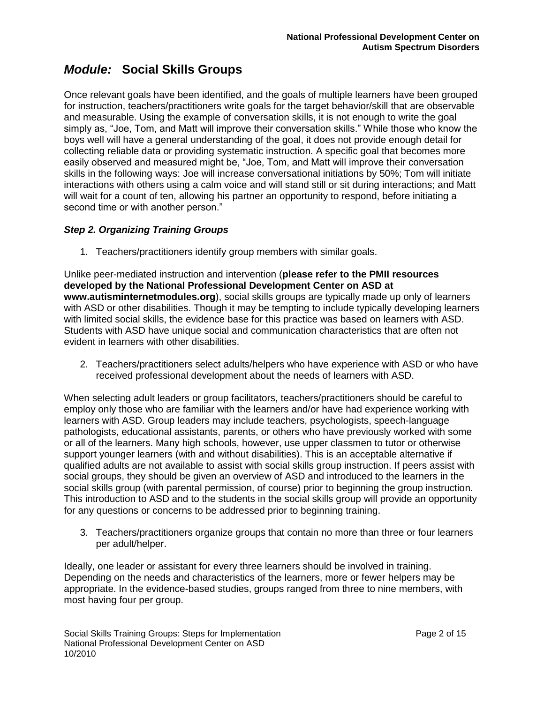Once relevant goals have been identified, and the goals of multiple learners have been grouped for instruction, teachers/practitioners write goals for the target behavior/skill that are observable and measurable. Using the example of conversation skills, it is not enough to write the goal simply as, "Joe, Tom, and Matt will improve their conversation skills." While those who know the boys well will have a general understanding of the goal, it does not provide enough detail for collecting reliable data or providing systematic instruction. A specific goal that becomes more easily observed and measured might be, "Joe, Tom, and Matt will improve their conversation skills in the following ways: Joe will increase conversational initiations by 50%; Tom will initiate interactions with others using a calm voice and will stand still or sit during interactions; and Matt will wait for a count of ten, allowing his partner an opportunity to respond, before initiating a second time or with another person."

### *Step 2. Organizing Training Groups*

1. Teachers/practitioners identify group members with similar goals.

Unlike peer-mediated instruction and intervention (**please refer to the PMII resources developed by the National Professional Development Center on ASD at www.autisminternetmodules.org**), social skills groups are typically made up only of learners with ASD or other disabilities. Though it may be tempting to include typically developing learners with limited social skills, the evidence base for this practice was based on learners with ASD. Students with ASD have unique social and communication characteristics that are often not evident in learners with other disabilities.

2. Teachers/practitioners select adults/helpers who have experience with ASD or who have received professional development about the needs of learners with ASD.

When selecting adult leaders or group facilitators, teachers/practitioners should be careful to employ only those who are familiar with the learners and/or have had experience working with learners with ASD. Group leaders may include teachers, psychologists, speech-language pathologists, educational assistants, parents, or others who have previously worked with some or all of the learners. Many high schools, however, use upper classmen to tutor or otherwise support younger learners (with and without disabilities). This is an acceptable alternative if qualified adults are not available to assist with social skills group instruction. If peers assist with social groups, they should be given an overview of ASD and introduced to the learners in the social skills group (with parental permission, of course) prior to beginning the group instruction. This introduction to ASD and to the students in the social skills group will provide an opportunity for any questions or concerns to be addressed prior to beginning training.

3. Teachers/practitioners organize groups that contain no more than three or four learners per adult/helper.

Ideally, one leader or assistant for every three learners should be involved in training. Depending on the needs and characteristics of the learners, more or fewer helpers may be appropriate. In the evidence-based studies, groups ranged from three to nine members, with most having four per group.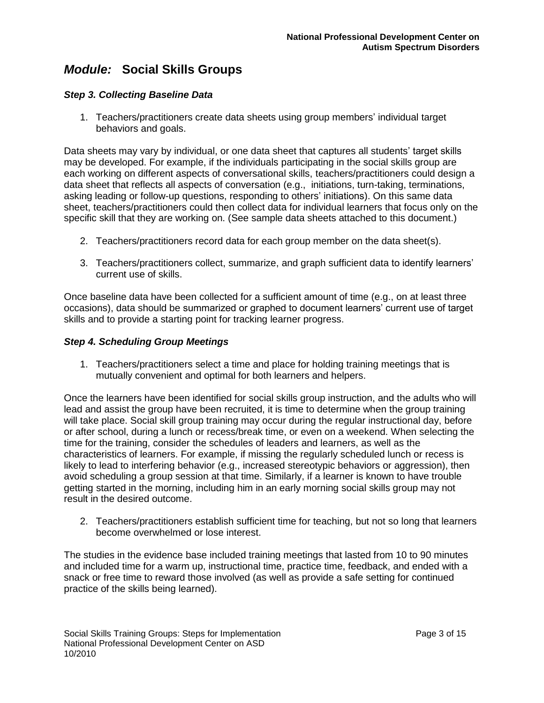### *Step 3. Collecting Baseline Data*

1. Teachers/practitioners create data sheets using group members" individual target behaviors and goals.

Data sheets may vary by individual, or one data sheet that captures all students" target skills may be developed. For example, if the individuals participating in the social skills group are each working on different aspects of conversational skills, teachers/practitioners could design a data sheet that reflects all aspects of conversation (e.g., initiations, turn-taking, terminations, asking leading or follow-up questions, responding to others" initiations). On this same data sheet, teachers/practitioners could then collect data for individual learners that focus only on the specific skill that they are working on. (See sample data sheets attached to this document.)

- 2. Teachers/practitioners record data for each group member on the data sheet(s).
- 3. Teachers/practitioners collect, summarize, and graph sufficient data to identify learners" current use of skills.

Once baseline data have been collected for a sufficient amount of time (e.g., on at least three occasions), data should be summarized or graphed to document learners" current use of target skills and to provide a starting point for tracking learner progress.

#### *Step 4. Scheduling Group Meetings*

1. Teachers/practitioners select a time and place for holding training meetings that is mutually convenient and optimal for both learners and helpers.

Once the learners have been identified for social skills group instruction, and the adults who will lead and assist the group have been recruited, it is time to determine when the group training will take place. Social skill group training may occur during the regular instructional day, before or after school, during a lunch or recess/break time, or even on a weekend. When selecting the time for the training, consider the schedules of leaders and learners, as well as the characteristics of learners. For example, if missing the regularly scheduled lunch or recess is likely to lead to interfering behavior (e.g., increased stereotypic behaviors or aggression), then avoid scheduling a group session at that time. Similarly, if a learner is known to have trouble getting started in the morning, including him in an early morning social skills group may not result in the desired outcome.

2. Teachers/practitioners establish sufficient time for teaching, but not so long that learners become overwhelmed or lose interest.

The studies in the evidence base included training meetings that lasted from 10 to 90 minutes and included time for a warm up, instructional time, practice time, feedback, and ended with a snack or free time to reward those involved (as well as provide a safe setting for continued practice of the skills being learned).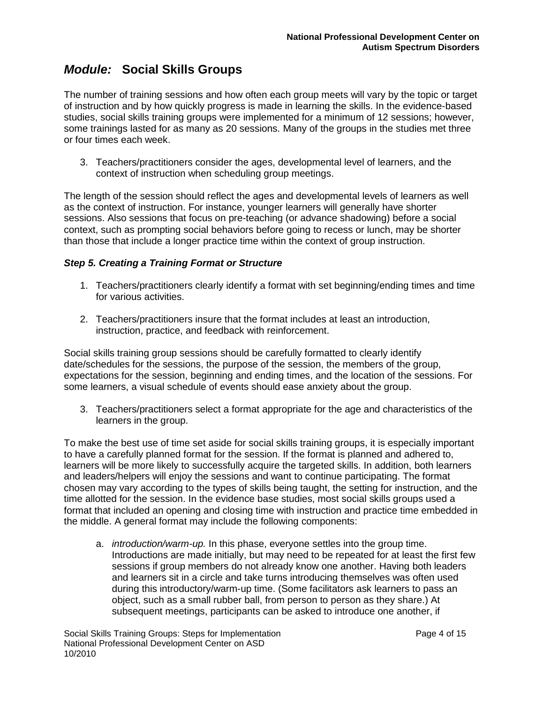The number of training sessions and how often each group meets will vary by the topic or target of instruction and by how quickly progress is made in learning the skills. In the evidence-based studies, social skills training groups were implemented for a minimum of 12 sessions; however, some trainings lasted for as many as 20 sessions. Many of the groups in the studies met three or four times each week.

3. Teachers/practitioners consider the ages, developmental level of learners, and the context of instruction when scheduling group meetings.

The length of the session should reflect the ages and developmental levels of learners as well as the context of instruction. For instance, younger learners will generally have shorter sessions. Also sessions that focus on pre-teaching (or advance shadowing) before a social context, such as prompting social behaviors before going to recess or lunch, may be shorter than those that include a longer practice time within the context of group instruction.

### *Step 5. Creating a Training Format or Structure*

- 1. Teachers/practitioners clearly identify a format with set beginning/ending times and time for various activities.
- 2. Teachers/practitioners insure that the format includes at least an introduction, instruction, practice, and feedback with reinforcement.

Social skills training group sessions should be carefully formatted to clearly identify date/schedules for the sessions, the purpose of the session, the members of the group, expectations for the session, beginning and ending times, and the location of the sessions. For some learners, a visual schedule of events should ease anxiety about the group.

3. Teachers/practitioners select a format appropriate for the age and characteristics of the learners in the group.

To make the best use of time set aside for social skills training groups, it is especially important to have a carefully planned format for the session. If the format is planned and adhered to, learners will be more likely to successfully acquire the targeted skills. In addition, both learners and leaders/helpers will enjoy the sessions and want to continue participating. The format chosen may vary according to the types of skills being taught, the setting for instruction, and the time allotted for the session. In the evidence base studies, most social skills groups used a format that included an opening and closing time with instruction and practice time embedded in the middle. A general format may include the following components:

a. *introduction/warm-up.* In this phase, everyone settles into the group time. Introductions are made initially, but may need to be repeated for at least the first few sessions if group members do not already know one another. Having both leaders and learners sit in a circle and take turns introducing themselves was often used during this introductory/warm-up time. (Some facilitators ask learners to pass an object, such as a small rubber ball, from person to person as they share.) At subsequent meetings, participants can be asked to introduce one another, if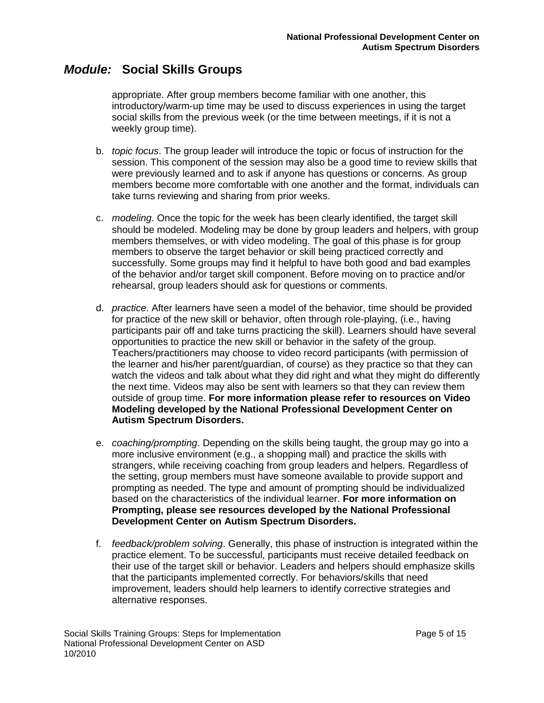appropriate. After group members become familiar with one another, this introductory/warm-up time may be used to discuss experiences in using the target social skills from the previous week (or the time between meetings, if it is not a weekly group time).

- b. *topic focus*. The group leader will introduce the topic or focus of instruction for the session. This component of the session may also be a good time to review skills that were previously learned and to ask if anyone has questions or concerns. As group members become more comfortable with one another and the format, individuals can take turns reviewing and sharing from prior weeks.
- c. *modeling*. Once the topic for the week has been clearly identified, the target skill should be modeled. Modeling may be done by group leaders and helpers, with group members themselves, or with video modeling. The goal of this phase is for group members to observe the target behavior or skill being practiced correctly and successfully. Some groups may find it helpful to have both good and bad examples of the behavior and/or target skill component. Before moving on to practice and/or rehearsal, group leaders should ask for questions or comments.
- d. *practice*. After learners have seen a model of the behavior, time should be provided for practice of the new skill or behavior, often through role-playing, (i.e., having participants pair off and take turns practicing the skill). Learners should have several opportunities to practice the new skill or behavior in the safety of the group. Teachers/practitioners may choose to video record participants (with permission of the learner and his/her parent/guardian, of course) as they practice so that they can watch the videos and talk about what they did right and what they might do differently the next time. Videos may also be sent with learners so that they can review them outside of group time. **For more information please refer to resources on Video Modeling developed by the National Professional Development Center on Autism Spectrum Disorders.**
- e. *coaching/prompting*. Depending on the skills being taught, the group may go into a more inclusive environment (e.g., a shopping mall) and practice the skills with strangers, while receiving coaching from group leaders and helpers. Regardless of the setting, group members must have someone available to provide support and prompting as needed. The type and amount of prompting should be individualized based on the characteristics of the individual learner. **For more information on Prompting, please see resources developed by the National Professional Development Center on Autism Spectrum Disorders.**
- f. *feedback/problem solving*. Generally, this phase of instruction is integrated within the practice element. To be successful, participants must receive detailed feedback on their use of the target skill or behavior. Leaders and helpers should emphasize skills that the participants implemented correctly. For behaviors/skills that need improvement, leaders should help learners to identify corrective strategies and alternative responses.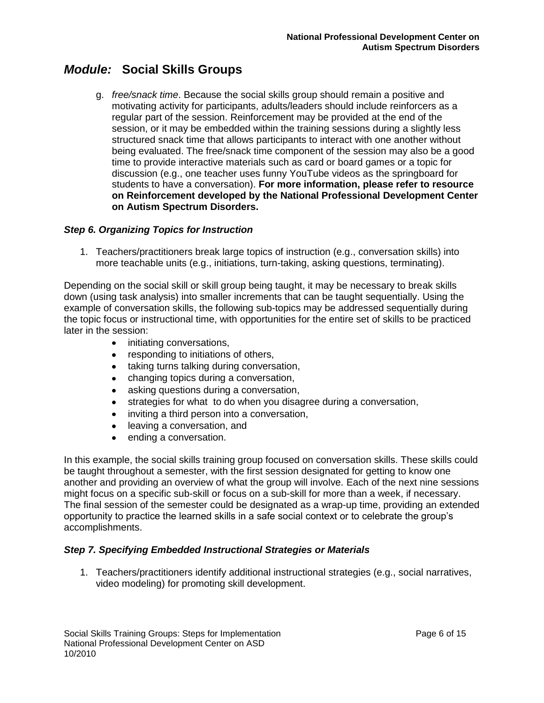g. *free/snack time*. Because the social skills group should remain a positive and motivating activity for participants, adults/leaders should include reinforcers as a regular part of the session. Reinforcement may be provided at the end of the session, or it may be embedded within the training sessions during a slightly less structured snack time that allows participants to interact with one another without being evaluated. The free/snack time component of the session may also be a good time to provide interactive materials such as card or board games or a topic for discussion (e.g., one teacher uses funny YouTube videos as the springboard for students to have a conversation). **For more information, please refer to resource on Reinforcement developed by the National Professional Development Center on Autism Spectrum Disorders.**

### *Step 6. Organizing Topics for Instruction*

1. Teachers/practitioners break large topics of instruction (e.g., conversation skills) into more teachable units (e.g., initiations, turn-taking, asking questions, terminating).

Depending on the social skill or skill group being taught, it may be necessary to break skills down (using task analysis) into smaller increments that can be taught sequentially. Using the example of conversation skills, the following sub-topics may be addressed sequentially during the topic focus or instructional time, with opportunities for the entire set of skills to be practiced later in the session:

- initiating conversations,  $\bullet$
- responding to initiations of others,  $\bullet$
- taking turns talking during conversation,  $\bullet$
- changing topics during a conversation,  $\bullet$
- $\bullet$ asking questions during a conversation,
- $\bullet$ strategies for what to do when you disagree during a conversation,
- inviting a third person into a conversation,  $\bullet$
- leaving a conversation, and  $\bullet$
- ending a conversation.  $\bullet$

In this example, the social skills training group focused on conversation skills. These skills could be taught throughout a semester, with the first session designated for getting to know one another and providing an overview of what the group will involve. Each of the next nine sessions might focus on a specific sub-skill or focus on a sub-skill for more than a week, if necessary. The final session of the semester could be designated as a wrap-up time, providing an extended opportunity to practice the learned skills in a safe social context or to celebrate the group"s accomplishments.

### *Step 7. Specifying Embedded Instructional Strategies or Materials*

1. Teachers/practitioners identify additional instructional strategies (e.g., social narratives, video modeling) for promoting skill development.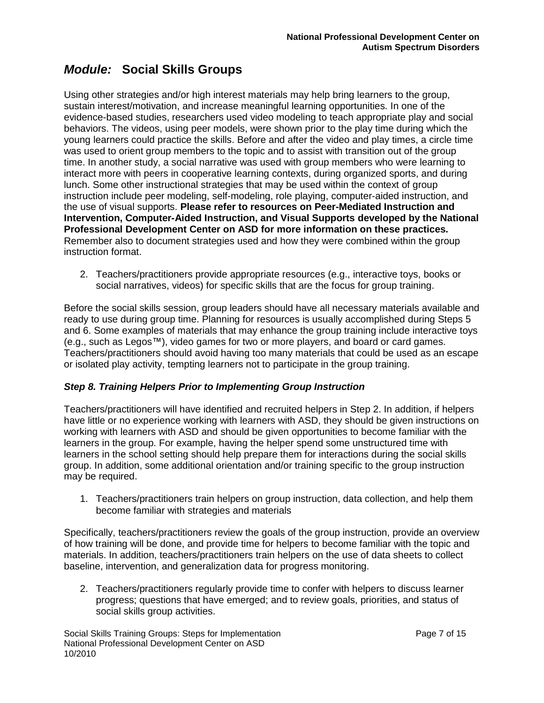Using other strategies and/or high interest materials may help bring learners to the group, sustain interest/motivation, and increase meaningful learning opportunities. In one of the evidence-based studies, researchers used video modeling to teach appropriate play and social behaviors. The videos, using peer models, were shown prior to the play time during which the young learners could practice the skills. Before and after the video and play times, a circle time was used to orient group members to the topic and to assist with transition out of the group time. In another study, a social narrative was used with group members who were learning to interact more with peers in cooperative learning contexts, during organized sports, and during lunch. Some other instructional strategies that may be used within the context of group instruction include peer modeling, self-modeling, role playing, computer-aided instruction, and the use of visual supports. **Please refer to resources on Peer-Mediated Instruction and Intervention, Computer-Aided Instruction, and Visual Supports developed by the National Professional Development Center on ASD for more information on these practices.**  Remember also to document strategies used and how they were combined within the group instruction format.

2. Teachers/practitioners provide appropriate resources (e.g., interactive toys, books or social narratives, videos) for specific skills that are the focus for group training.

Before the social skills session, group leaders should have all necessary materials available and ready to use during group time. Planning for resources is usually accomplished during Steps 5 and 6. Some examples of materials that may enhance the group training include interactive toys (e.g., such as Legos™), video games for two or more players, and board or card games. Teachers/practitioners should avoid having too many materials that could be used as an escape or isolated play activity, tempting learners not to participate in the group training.

### *Step 8. Training Helpers Prior to Implementing Group Instruction*

Teachers/practitioners will have identified and recruited helpers in Step 2. In addition, if helpers have little or no experience working with learners with ASD, they should be given instructions on working with learners with ASD and should be given opportunities to become familiar with the learners in the group. For example, having the helper spend some unstructured time with learners in the school setting should help prepare them for interactions during the social skills group. In addition, some additional orientation and/or training specific to the group instruction may be required.

1. Teachers/practitioners train helpers on group instruction, data collection, and help them become familiar with strategies and materials

Specifically, teachers/practitioners review the goals of the group instruction, provide an overview of how training will be done, and provide time for helpers to become familiar with the topic and materials. In addition, teachers/practitioners train helpers on the use of data sheets to collect baseline, intervention, and generalization data for progress monitoring.

2. Teachers/practitioners regularly provide time to confer with helpers to discuss learner progress; questions that have emerged; and to review goals, priorities, and status of social skills group activities.

Social Skills Training Groups: Steps for Implementation **Page 7 of 15** Page 7 of 15 National Professional Development Center on ASD 10/2010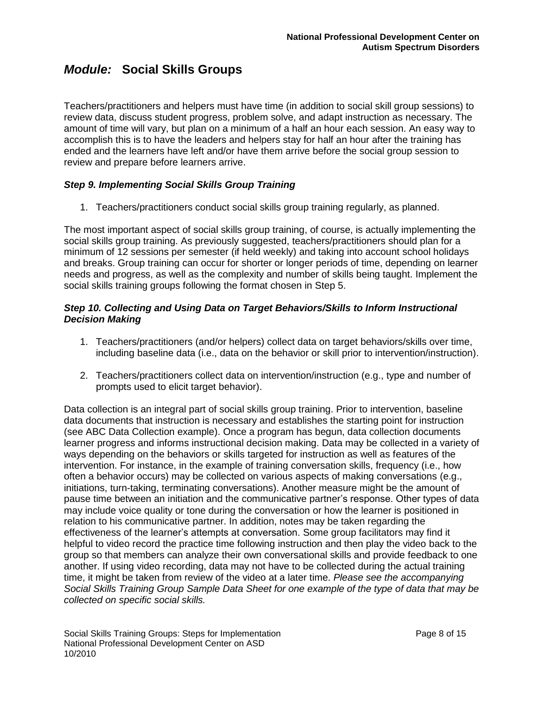Teachers/practitioners and helpers must have time (in addition to social skill group sessions) to review data, discuss student progress, problem solve, and adapt instruction as necessary. The amount of time will vary, but plan on a minimum of a half an hour each session. An easy way to accomplish this is to have the leaders and helpers stay for half an hour after the training has ended and the learners have left and/or have them arrive before the social group session to review and prepare before learners arrive.

### *Step 9. Implementing Social Skills Group Training*

1. Teachers/practitioners conduct social skills group training regularly, as planned.

The most important aspect of social skills group training, of course, is actually implementing the social skills group training. As previously suggested, teachers/practitioners should plan for a minimum of 12 sessions per semester (if held weekly) and taking into account school holidays and breaks. Group training can occur for shorter or longer periods of time, depending on learner needs and progress, as well as the complexity and number of skills being taught. Implement the social skills training groups following the format chosen in Step 5.

### *Step 10. Collecting and Using Data on Target Behaviors/Skills to Inform Instructional Decision Making*

- 1. Teachers/practitioners (and/or helpers) collect data on target behaviors/skills over time, including baseline data (i.e., data on the behavior or skill prior to intervention/instruction).
- 2. Teachers/practitioners collect data on intervention/instruction (e.g., type and number of prompts used to elicit target behavior).

Data collection is an integral part of social skills group training. Prior to intervention, baseline data documents that instruction is necessary and establishes the starting point for instruction (see ABC Data Collection example). Once a program has begun, data collection documents learner progress and informs instructional decision making. Data may be collected in a variety of ways depending on the behaviors or skills targeted for instruction as well as features of the intervention. For instance, in the example of training conversation skills, frequency (i.e., how often a behavior occurs) may be collected on various aspects of making conversations (e.g., initiations, turn-taking, terminating conversations). Another measure might be the amount of pause time between an initiation and the communicative partner"s response. Other types of data may include voice quality or tone during the conversation or how the learner is positioned in relation to his communicative partner. In addition, notes may be taken regarding the effectiveness of the learner"s attempts at conversation. Some group facilitators may find it helpful to video record the practice time following instruction and then play the video back to the group so that members can analyze their own conversational skills and provide feedback to one another. If using video recording, data may not have to be collected during the actual training time, it might be taken from review of the video at a later time. *Please see the accompanying Social Skills Training Group Sample Data Sheet for one example of the type of data that may be collected on specific social skills.*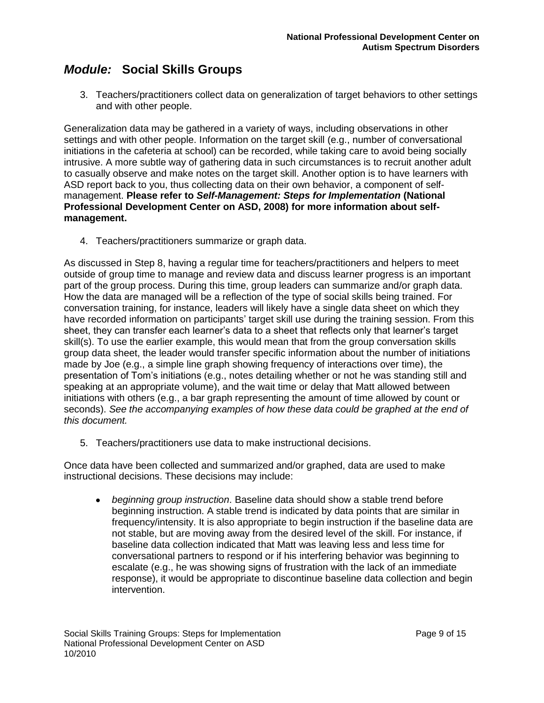3. Teachers/practitioners collect data on generalization of target behaviors to other settings and with other people.

Generalization data may be gathered in a variety of ways, including observations in other settings and with other people. Information on the target skill (e.g., number of conversational initiations in the cafeteria at school) can be recorded, while taking care to avoid being socially intrusive. A more subtle way of gathering data in such circumstances is to recruit another adult to casually observe and make notes on the target skill. Another option is to have learners with ASD report back to you, thus collecting data on their own behavior, a component of selfmanagement. **Please refer to** *Self-Management: Steps for Implementation* **(National Professional Development Center on ASD, 2008) for more information about selfmanagement.**

4. Teachers/practitioners summarize or graph data.

As discussed in Step 8, having a regular time for teachers/practitioners and helpers to meet outside of group time to manage and review data and discuss learner progress is an important part of the group process. During this time, group leaders can summarize and/or graph data. How the data are managed will be a reflection of the type of social skills being trained. For conversation training, for instance, leaders will likely have a single data sheet on which they have recorded information on participants' target skill use during the training session. From this sheet, they can transfer each learner"s data to a sheet that reflects only that learner"s target skill(s). To use the earlier example, this would mean that from the group conversation skills group data sheet, the leader would transfer specific information about the number of initiations made by Joe (e.g., a simple line graph showing frequency of interactions over time), the presentation of Tom"s initiations (e.g., notes detailing whether or not he was standing still and speaking at an appropriate volume), and the wait time or delay that Matt allowed between initiations with others (e.g., a bar graph representing the amount of time allowed by count or seconds). *See the accompanying examples of how these data could be graphed at the end of this document.* 

5. Teachers/practitioners use data to make instructional decisions.

Once data have been collected and summarized and/or graphed, data are used to make instructional decisions. These decisions may include:

 $\bullet$ *beginning group instruction*. Baseline data should show a stable trend before beginning instruction. A stable trend is indicated by data points that are similar in frequency/intensity. It is also appropriate to begin instruction if the baseline data are not stable, but are moving away from the desired level of the skill. For instance, if baseline data collection indicated that Matt was leaving less and less time for conversational partners to respond or if his interfering behavior was beginning to escalate (e.g., he was showing signs of frustration with the lack of an immediate response), it would be appropriate to discontinue baseline data collection and begin intervention.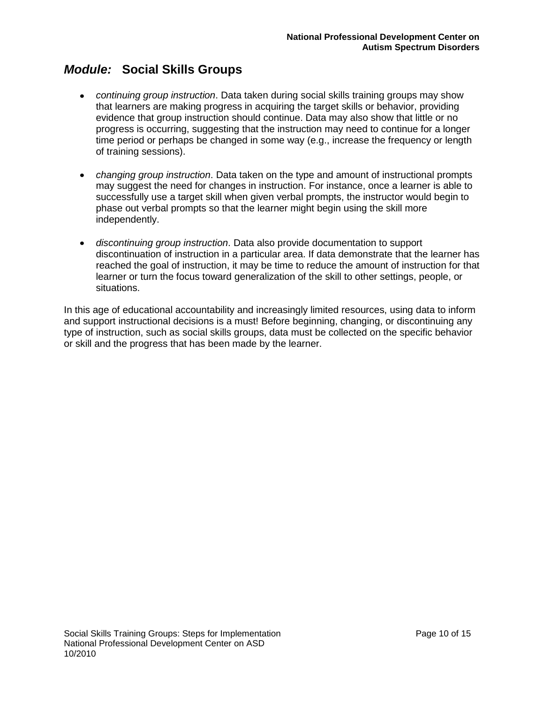- *continuing group instruction*. Data taken during social skills training groups may show that learners are making progress in acquiring the target skills or behavior, providing evidence that group instruction should continue. Data may also show that little or no progress is occurring, suggesting that the instruction may need to continue for a longer time period or perhaps be changed in some way (e.g., increase the frequency or length of training sessions).
- *changing group instruction*. Data taken on the type and amount of instructional prompts may suggest the need for changes in instruction. For instance, once a learner is able to successfully use a target skill when given verbal prompts, the instructor would begin to phase out verbal prompts so that the learner might begin using the skill more independently.
- *discontinuing group instruction*. Data also provide documentation to support discontinuation of instruction in a particular area. If data demonstrate that the learner has reached the goal of instruction, it may be time to reduce the amount of instruction for that learner or turn the focus toward generalization of the skill to other settings, people, or situations.

In this age of educational accountability and increasingly limited resources, using data to inform and support instructional decisions is a must! Before beginning, changing, or discontinuing any type of instruction, such as social skills groups, data must be collected on the specific behavior or skill and the progress that has been made by the learner.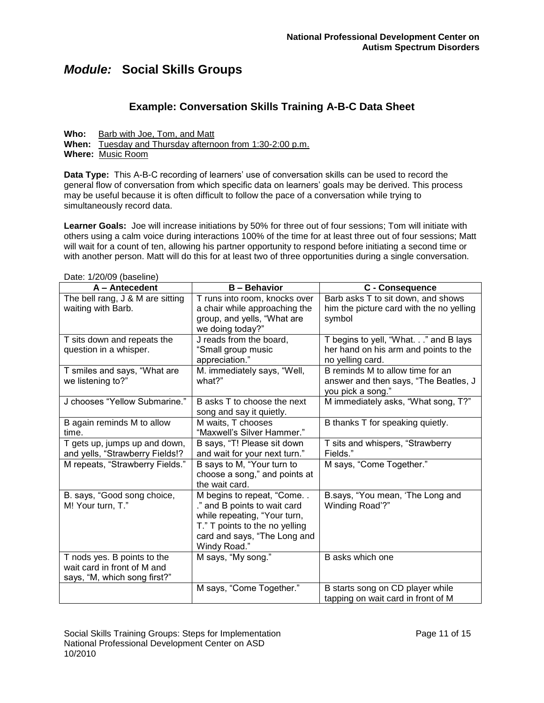Date: 1/20/00 (baseline)

### **Example: Conversation Skills Training A-B-C Data Sheet**

**Who:** Barb with Joe, Tom, and Matt **When:** Tuesday and Thursday afternoon from 1:30-2:00 p.m. **Where:** Music Room

**Data Type:** This A-B-C recording of learners" use of conversation skills can be used to record the general flow of conversation from which specific data on learners" goals may be derived. This process may be useful because it is often difficult to follow the pace of a conversation while trying to simultaneously record data.

**Learner Goals:** Joe will increase initiations by 50% for three out of four sessions; Tom will initiate with others using a calm voice during interactions 100% of the time for at least three out of four sessions; Matt will wait for a count of ten, allowing his partner opportunity to respond before initiating a second time or with another person. Matt will do this for at least two of three opportunities during a single conversation.

| Dale. 1/20/09 (Dasellite)<br>A - Antecedent                                                | <b>B</b> – Behavior                                                                                                                                                         | C - Consequence                                                                                   |
|--------------------------------------------------------------------------------------------|-----------------------------------------------------------------------------------------------------------------------------------------------------------------------------|---------------------------------------------------------------------------------------------------|
| The bell rang, J & M are sitting<br>waiting with Barb.                                     | T runs into room, knocks over<br>a chair while approaching the<br>group, and yells, "What are<br>we doing today?"                                                           | Barb asks T to sit down, and shows<br>him the picture card with the no yelling<br>symbol          |
| T sits down and repeats the<br>question in a whisper.                                      | J reads from the board,<br>"Small group music<br>appreciation."                                                                                                             | T begins to yell, "What." and B lays<br>her hand on his arm and points to the<br>no yelling card. |
| T smiles and says, "What are<br>we listening to?"                                          | M. immediately says, "Well,<br>what?"                                                                                                                                       | B reminds M to allow time for an<br>answer and then says, "The Beatles, J<br>you pick a song."    |
| J chooses "Yellow Submarine."                                                              | B asks T to choose the next<br>song and say it quietly.                                                                                                                     | M immediately asks, "What song, T?"                                                               |
| B again reminds M to allow<br>time.                                                        | M waits, T chooses<br>"Maxwell's Silver Hammer."                                                                                                                            | B thanks T for speaking quietly.                                                                  |
| T gets up, jumps up and down,<br>and yells, "Strawberry Fields!?                           | B says, "T! Please sit down<br>and wait for your next turn."                                                                                                                | T sits and whispers, "Strawberry<br>Fields."                                                      |
| M repeats, "Strawberry Fields."                                                            | B says to M, "Your turn to<br>choose a song," and points at<br>the wait card.                                                                                               | M says, "Come Together."                                                                          |
| B. says, "Good song choice,<br>M! Your turn, T."                                           | M begins to repeat, "Come<br>." and B points to wait card<br>while repeating, "Your turn,<br>T." T points to the no yelling<br>card and says, "The Long and<br>Windy Road." | B.says, "You mean, 'The Long and<br>Winding Road'?"                                               |
| T nods yes. B points to the<br>wait card in front of M and<br>says, "M, which song first?" | M says, "My song."                                                                                                                                                          | B asks which one                                                                                  |
|                                                                                            | M says, "Come Together."                                                                                                                                                    | B starts song on CD player while<br>tapping on wait card in front of M                            |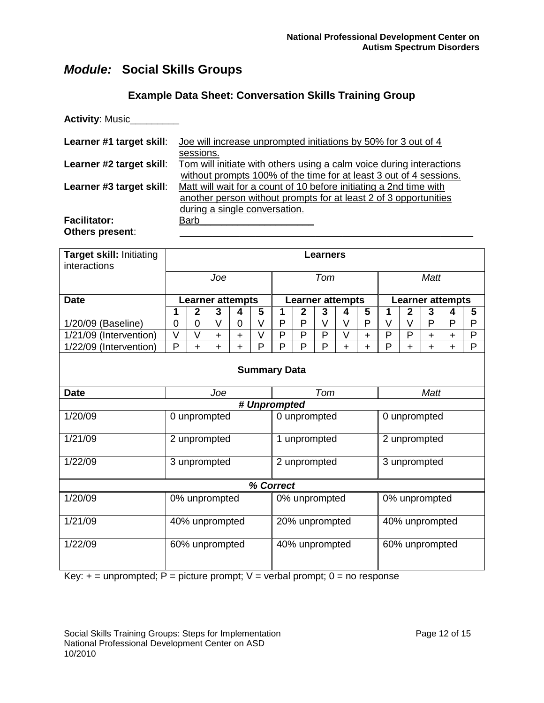### **Example Data Sheet: Conversation Skills Training Group**

| <b>Activity: Music_</b>                |                                                                                                                                                                         |
|----------------------------------------|-------------------------------------------------------------------------------------------------------------------------------------------------------------------------|
| Learner #1 target skill:               | Joe will increase unprompted initiations by 50% for 3 out of 4<br>sessions.                                                                                             |
| Learner #2 target skill:               | Tom will initiate with others using a calm voice during interactions<br>without prompts 100% of the time for at least 3 out of 4 sessions.                              |
| Learner #3 target skill:               | Matt will wait for a count of 10 before initiating a 2nd time with<br>another person without prompts for at least 2 of 3 opportunities<br>during a single conversation. |
| <b>Facilitator:</b><br>Others present: | Barb                                                                                                                                                                    |

| Target skill: Initiating<br>interactions |                | <b>Learners</b>         |                |                |        |                              |              |                         |             |                |        |                |                |                         |              |
|------------------------------------------|----------------|-------------------------|----------------|----------------|--------|------------------------------|--------------|-------------------------|-------------|----------------|--------|----------------|----------------|-------------------------|--------------|
|                                          |                | Tom<br>Joe              |                |                |        |                              |              |                         | <b>Matt</b> |                |        |                |                |                         |              |
| <b>Date</b>                              |                | <b>Learner attempts</b> |                |                |        |                              |              | <b>Learner attempts</b> |             |                |        |                |                | <b>Learner attempts</b> |              |
|                                          | 1              | $\overline{2}$          | 3              | 4              | 5      | 1                            | $\mathbf{2}$ | 3                       | 4           | 5              | 1      | $\overline{2}$ | 3              | 4                       | 5            |
| 1/20/09 (Baseline)                       | $\overline{0}$ | $\overline{0}$          | $\vee$         | $\overline{0}$ | $\vee$ | P                            | P            | $\vee$                  | $\vee$      | P              | $\vee$ | V              | P              | P                       | P            |
| 1/21/09 (Intervention)                   | V              | V                       | $+$            | $+$            | V      | P                            | P            | P                       | V           | $+$            | P      | P              | $\ddot{}$      | $\ddot{}$               | $\mathsf{P}$ |
| 1/22/09 (Intervention)                   | P              | $\ddot{}$               | $\ddot{}$      | $\ddot{}$      | P      | P                            | P            | P                       | $\ddot{}$   | $\ddot{}$      | P      | $\ddot{}$      | $\ddot{}$      | $\ddot{}$               | P            |
| <b>Summary Data</b>                      |                |                         |                |                |        |                              |              |                         |             |                |        |                |                |                         |              |
| <b>Date</b>                              |                |                         | Joe            |                |        |                              |              | Tom                     |             |                |        |                | <b>Matt</b>    |                         |              |
|                                          |                |                         |                |                |        | # Unprompted                 |              |                         |             |                |        |                |                |                         |              |
| 1/20/09                                  |                |                         | 0 unprompted   |                |        | 0 unprompted                 |              |                         |             |                |        |                | 0 unprompted   |                         |              |
| 1/21/09                                  |                |                         | 2 unprompted   |                |        |                              |              | 1 unprompted            |             |                |        |                | 2 unprompted   |                         |              |
| 1/22/09                                  |                |                         | 3 unprompted   |                |        | 2 unprompted<br>3 unprompted |              |                         |             |                |        |                |                |                         |              |
|                                          |                |                         |                |                |        | % Correct                    |              |                         |             |                |        |                |                |                         |              |
| 1/20/09                                  |                |                         | 0% unprompted  |                |        |                              |              | 0% unprompted           |             |                |        |                | 0% unprompted  |                         |              |
| 1/21/09                                  |                | 40% unprompted          |                |                |        | 20% unprompted               |              |                         |             |                |        |                | 40% unprompted |                         |              |
| 1/22/09                                  |                |                         | 60% unprompted |                |        | 40% unprompted               |              |                         |             | 60% unprompted |        |                |                |                         |              |

Key:  $+=$  unprompted; P = picture prompt; V = verbal prompt; 0 = no response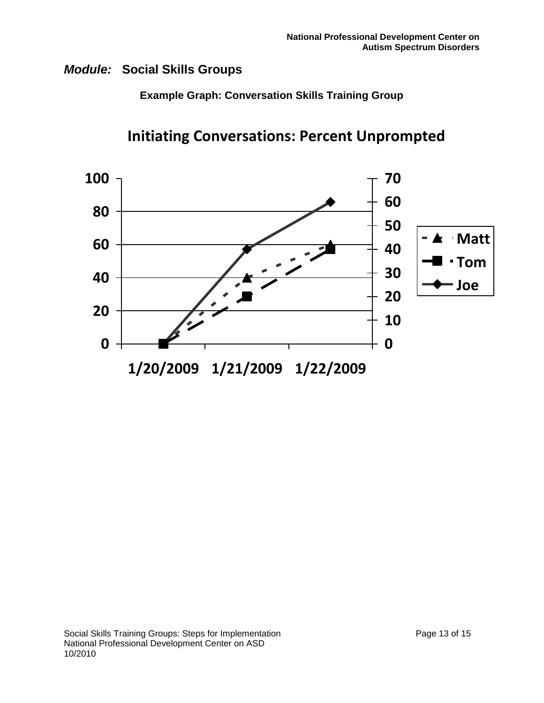**Example Graph: Conversation Skills Training Group**



**Initiating Conversations: Percent Unprompted**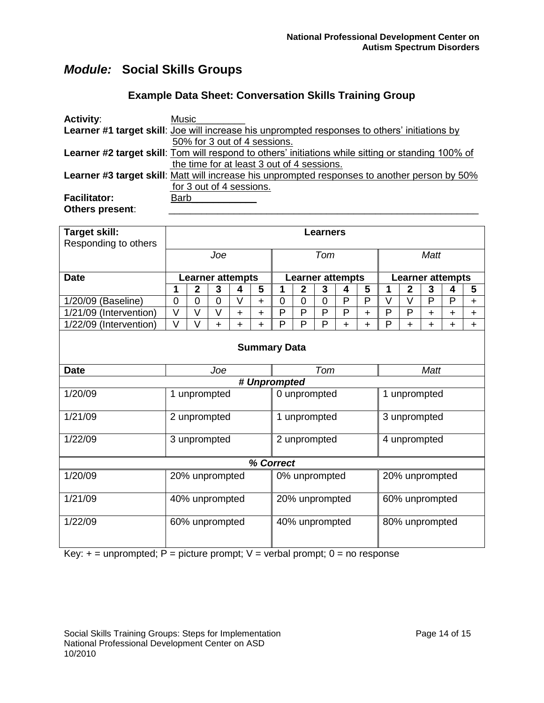### **Example Data Sheet: Conversation Skills Training Group**

| <b>Activity:</b>    | <b>Music</b>                                                                                              |
|---------------------|-----------------------------------------------------------------------------------------------------------|
|                     | Learner #1 target skill: Joe will increase his unprompted responses to others' initiations by             |
|                     | 50% for 3 out of 4 sessions.                                                                              |
|                     | <b>Learner #2 target skill:</b> Tom will respond to others' initiations while sitting or standing 100% of |
|                     | the time for at least 3 out of 4 sessions.                                                                |
|                     | <b>Learner #3 target skill:</b> Matt will increase his unprompted responses to another person by 50%      |
|                     | for 3 out of 4 sessions.                                                                                  |
| <b>Facilitator:</b> | Barb                                                                                                      |
| Others present:     |                                                                                                           |

| Target skill:          |                | <b>Learners</b>    |                         |           |           |                                  |                |                         |                         |           |   |                |                         |           |           |  |
|------------------------|----------------|--------------------|-------------------------|-----------|-----------|----------------------------------|----------------|-------------------------|-------------------------|-----------|---|----------------|-------------------------|-----------|-----------|--|
| Responding to others   |                | Joe<br>Tom<br>Matt |                         |           |           |                                  |                |                         |                         |           |   |                |                         |           |           |  |
|                        |                |                    |                         |           |           |                                  |                |                         |                         |           |   |                |                         |           |           |  |
| <b>Date</b>            |                |                    | <b>Learner attempts</b> |           |           |                                  |                | <b>Learner attempts</b> |                         |           |   |                | <b>Learner attempts</b> |           |           |  |
|                        | 1              | $\overline{2}$     | 3                       | 4         | 5         | 1                                | $\mathbf{2}$   | $\mathbf{3}$            | $\overline{\mathbf{4}}$ | 5         | 1 | $\overline{2}$ | 3                       | 4         | 5         |  |
| 1/20/09 (Baseline)     | $\overline{0}$ | $\overline{0}$     | 0                       | V         | $\ddot{}$ | 0                                | 0              | 0                       | P                       | P         | V | V              | P                       | P         | $\ddot{}$ |  |
| 1/21/09 (Intervention) | V              | $\vee$             | V                       | $\ddot{}$ | ÷.        | P                                | P              | P                       | P                       | $\ddot{}$ | P | P              | $\ddot{}$               | +         | $\ddot{}$ |  |
| 1/22/09 (Intervention) | V              | V                  | $\ddot{}$               | $+$       | +         | P                                | P              | P                       | $\ddot{}$               | $+$       | P | $\ddot{}$      | $\ddot{}$               | $\ddot{}$ | $+$       |  |
| <b>Summary Data</b>    |                |                    |                         |           |           |                                  |                |                         |                         |           |   |                |                         |           |           |  |
| <b>Date</b>            |                |                    | Joe                     |           |           |                                  |                | Tom                     |                         |           |   |                | <b>Matt</b>             |           |           |  |
|                        |                |                    |                         |           |           | # Unprompted                     |                |                         |                         |           |   |                |                         |           |           |  |
| 1/20/09                |                |                    | 1 unprompted            |           |           | 0 unprompted                     |                |                         |                         |           |   | 1 unprompted   |                         |           |           |  |
| 1/21/09                |                |                    | 2 unprompted            |           |           | 1 unprompted                     |                |                         |                         |           |   |                | 3 unprompted            |           |           |  |
| 1/22/09                |                |                    | 3 unprompted            |           |           |                                  | 2 unprompted   |                         | 4 unprompted            |           |   |                |                         |           |           |  |
|                        |                |                    |                         |           |           | % Correct                        |                |                         |                         |           |   |                |                         |           |           |  |
| 1/20/09                |                |                    | 20% unprompted          |           |           |                                  |                | 0% unprompted           |                         |           |   |                | 20% unprompted          |           |           |  |
| 1/21/09                | 40% unprompted |                    |                         |           |           |                                  | 20% unprompted |                         |                         |           |   | 60% unprompted |                         |           |           |  |
| 1/22/09                |                |                    | 60% unprompted          |           |           | 80% unprompted<br>40% unprompted |                |                         |                         |           |   |                |                         |           |           |  |

Key:  $+=$  unprompted; P = picture prompt; V = verbal prompt; 0 = no response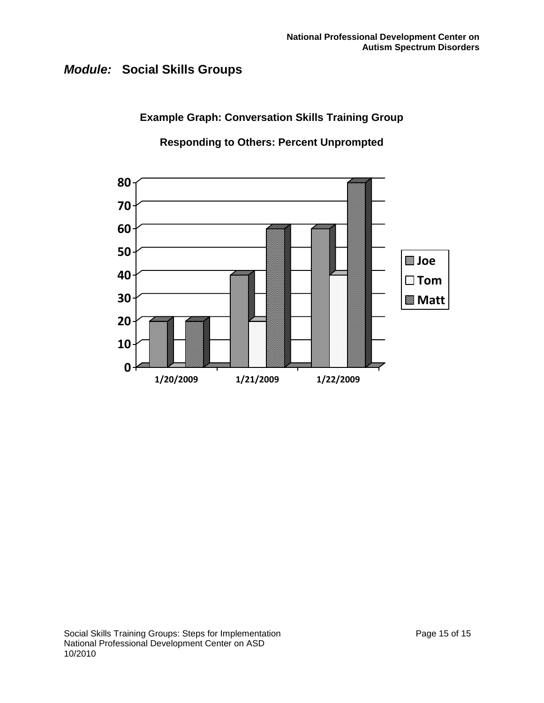**Example Graph: Conversation Skills Training Group**

**Responding to Others: Percent Unprompted**

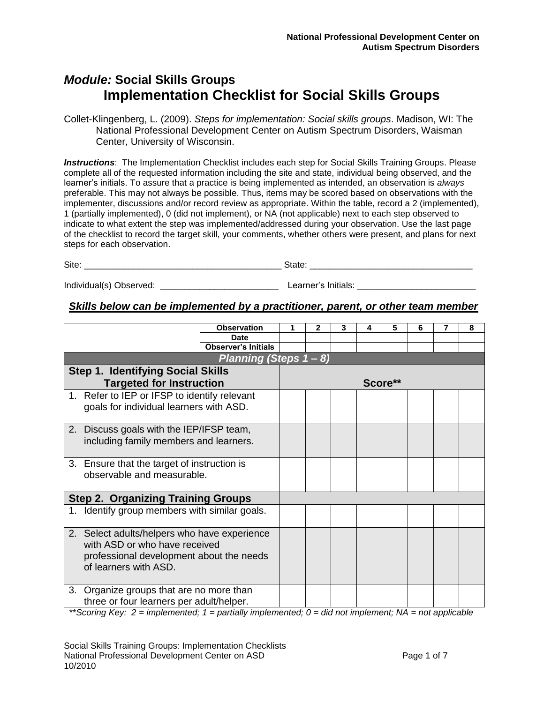## *Module:* **Social Skills Groups Implementation Checklist for Social Skills Groups**

Collet-Klingenberg, L. (2009). *Steps for implementation: Social skills groups*. Madison, WI: The National Professional Development Center on Autism Spectrum Disorders, Waisman Center, University of Wisconsin.

**Instructions**: The Implementation Checklist includes each step for Social Skills Training Groups. Please complete all of the requested information including the site and state, individual being observed, and the learner's initials. To assure that a practice is being implemented as intended, an observation is *always* preferable. This may not always be possible. Thus, items may be scored based on observations with the implementer, discussions and/or record review as appropriate. Within the table, record a 2 (implemented), 1 (partially implemented), 0 (did not implement), or NA (not applicable) next to each step observed to indicate to what extent the step was implemented/addressed during your observation. Use the last page of the checklist to record the target skill, your comments, whether others were present, and plans for next steps for each observation.

Individual(s) Observed: etc. and the set of the set of the Learner's Initials:  $\blacksquare$ 

### *Skills below can be implemented by a practitioner, parent, or other team member*

|                                                                                         |                                                                                                                                                    | <b>Observation</b>         | 1 | 2 | 3 | 4 | 5       | 6 | 8 |
|-----------------------------------------------------------------------------------------|----------------------------------------------------------------------------------------------------------------------------------------------------|----------------------------|---|---|---|---|---------|---|---|
|                                                                                         |                                                                                                                                                    | <b>Date</b>                |   |   |   |   |         |   |   |
|                                                                                         |                                                                                                                                                    | <b>Observer's Initials</b> |   |   |   |   |         |   |   |
|                                                                                         |                                                                                                                                                    | Planning (Steps 1 - 8)     |   |   |   |   |         |   |   |
|                                                                                         | <b>Step 1. Identifying Social Skills</b>                                                                                                           |                            |   |   |   |   |         |   |   |
|                                                                                         | <b>Targeted for Instruction</b>                                                                                                                    |                            |   |   |   |   | Score** |   |   |
| 1. Refer to IEP or IFSP to identify relevant<br>goals for individual learners with ASD. |                                                                                                                                                    |                            |   |   |   |   |         |   |   |
| 2. Discuss goals with the IEP/IFSP team,<br>including family members and learners.      |                                                                                                                                                    |                            |   |   |   |   |         |   |   |
|                                                                                         | 3. Ensure that the target of instruction is<br>observable and measurable.                                                                          |                            |   |   |   |   |         |   |   |
|                                                                                         | <b>Step 2. Organizing Training Groups</b>                                                                                                          |                            |   |   |   |   |         |   |   |
|                                                                                         | 1. Identify group members with similar goals.                                                                                                      |                            |   |   |   |   |         |   |   |
|                                                                                         | 2. Select adults/helpers who have experience<br>with ASD or who have received<br>professional development about the needs<br>of learners with ASD. |                            |   |   |   |   |         |   |   |
|                                                                                         | 3. Organize groups that are no more than<br>three or four learners per adult/helper.                                                               |                            |   |   |   |   |         |   |   |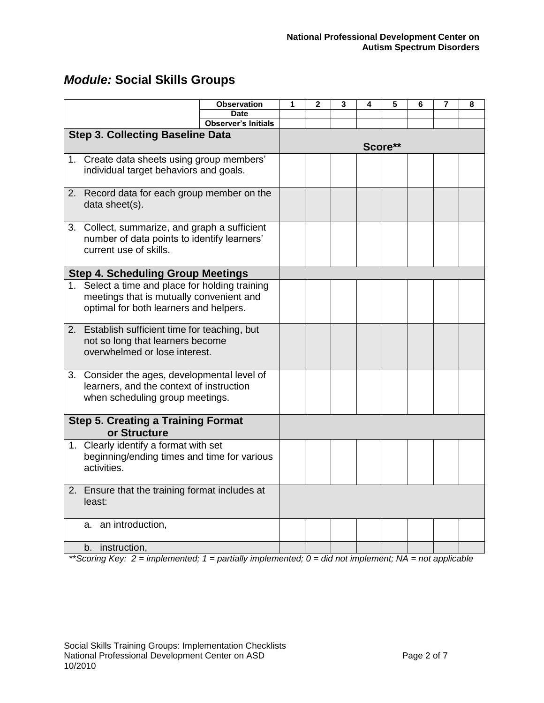|                                                                                                                                       | <b>Observation</b>                        | 1 | $\overline{2}$ | 3 | 4 | 5       | 6 | 7 | 8 |
|---------------------------------------------------------------------------------------------------------------------------------------|-------------------------------------------|---|----------------|---|---|---------|---|---|---|
|                                                                                                                                       | <b>Date</b><br><b>Observer's Initials</b> |   |                |   |   |         |   |   |   |
| <b>Step 3. Collecting Baseline Data</b>                                                                                               |                                           |   |                |   |   |         |   |   |   |
|                                                                                                                                       |                                           |   |                |   |   | Score** |   |   |   |
| 1. Create data sheets using group members'<br>individual target behaviors and goals.                                                  |                                           |   |                |   |   |         |   |   |   |
| 2. Record data for each group member on the<br>data sheet(s).                                                                         |                                           |   |                |   |   |         |   |   |   |
| 3. Collect, summarize, and graph a sufficient<br>number of data points to identify learners'<br>current use of skills.                |                                           |   |                |   |   |         |   |   |   |
| <b>Step 4. Scheduling Group Meetings</b>                                                                                              |                                           |   |                |   |   |         |   |   |   |
| 1. Select a time and place for holding training<br>meetings that is mutually convenient and<br>optimal for both learners and helpers. |                                           |   |                |   |   |         |   |   |   |
| 2. Establish sufficient time for teaching, but<br>not so long that learners become<br>overwhelmed or lose interest.                   |                                           |   |                |   |   |         |   |   |   |
| 3. Consider the ages, developmental level of<br>learners, and the context of instruction<br>when scheduling group meetings.           |                                           |   |                |   |   |         |   |   |   |
| <b>Step 5. Creating a Training Format</b><br>or Structure                                                                             |                                           |   |                |   |   |         |   |   |   |
| 1. Clearly identify a format with set<br>beginning/ending times and time for various<br>activities.                                   |                                           |   |                |   |   |         |   |   |   |
| 2. Ensure that the training format includes at<br>least:                                                                              |                                           |   |                |   |   |         |   |   |   |
| a. an introduction,                                                                                                                   |                                           |   |                |   |   |         |   |   |   |
| b.<br>instruction,                                                                                                                    |                                           |   |                |   |   |         |   |   |   |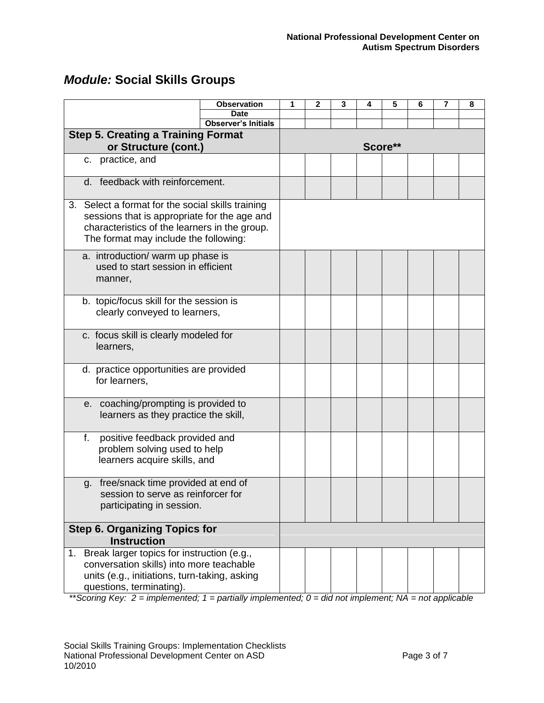| <b>Module: Social Skills Groups</b> |  |
|-------------------------------------|--|
|-------------------------------------|--|

|                                                                                                                                                                                             | <b>Observation</b>         | 1 | 2 | 3 | 4 | 5       | 6 | 7 | 8 |
|---------------------------------------------------------------------------------------------------------------------------------------------------------------------------------------------|----------------------------|---|---|---|---|---------|---|---|---|
|                                                                                                                                                                                             | <b>Date</b>                |   |   |   |   |         |   |   |   |
|                                                                                                                                                                                             | <b>Observer's Initials</b> |   |   |   |   |         |   |   |   |
| <b>Step 5. Creating a Training Format</b><br>or Structure (cont.)                                                                                                                           |                            |   |   |   |   | Score** |   |   |   |
| practice, and<br>$C_{1}$                                                                                                                                                                    |                            |   |   |   |   |         |   |   |   |
|                                                                                                                                                                                             |                            |   |   |   |   |         |   |   |   |
| feedback with reinforcement.<br>d.                                                                                                                                                          |                            |   |   |   |   |         |   |   |   |
| 3. Select a format for the social skills training<br>sessions that is appropriate for the age and<br>characteristics of the learners in the group.<br>The format may include the following: |                            |   |   |   |   |         |   |   |   |
| a. introduction/ warm up phase is<br>used to start session in efficient<br>manner,                                                                                                          |                            |   |   |   |   |         |   |   |   |
| b. topic/focus skill for the session is<br>clearly conveyed to learners,                                                                                                                    |                            |   |   |   |   |         |   |   |   |
| c. focus skill is clearly modeled for<br>learners,                                                                                                                                          |                            |   |   |   |   |         |   |   |   |
| d. practice opportunities are provided<br>for learners,                                                                                                                                     |                            |   |   |   |   |         |   |   |   |
| e. coaching/prompting is provided to<br>learners as they practice the skill,                                                                                                                |                            |   |   |   |   |         |   |   |   |
| f.<br>positive feedback provided and<br>problem solving used to help<br>learners acquire skills, and                                                                                        |                            |   |   |   |   |         |   |   |   |
| g. free/snack time provided at end of<br>session to serve as reinforcer for<br>participating in session.                                                                                    |                            |   |   |   |   |         |   |   |   |
| <b>Step 6. Organizing Topics for</b><br><b>Instruction</b>                                                                                                                                  |                            |   |   |   |   |         |   |   |   |
| Break larger topics for instruction (e.g.,<br>1 <sub>1</sub><br>conversation skills) into more teachable<br>units (e.g., initiations, turn-taking, asking<br>questions, terminating).       |                            |   |   |   |   |         |   |   |   |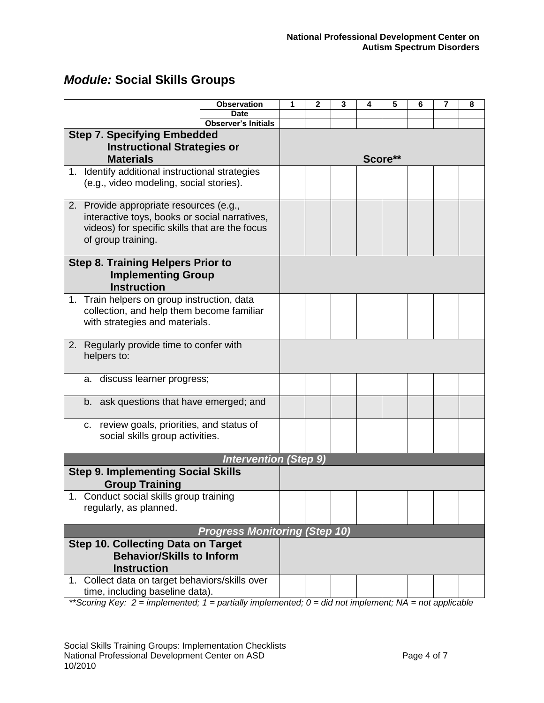|             |                                                 | <b>Observation</b><br><b>Date</b>    | 1 | 2 | 3 | 4 | 5       | 6 | 7 | 8 |
|-------------|-------------------------------------------------|--------------------------------------|---|---|---|---|---------|---|---|---|
|             |                                                 | <b>Observer's Initials</b>           |   |   |   |   |         |   |   |   |
|             |                                                 |                                      |   |   |   |   |         |   |   |   |
|             | <b>Step 7. Specifying Embedded</b>              |                                      |   |   |   |   |         |   |   |   |
|             | <b>Instructional Strategies or</b>              |                                      |   |   |   |   |         |   |   |   |
|             | <b>Materials</b>                                |                                      |   |   |   |   | Score** |   |   |   |
|             | 1. Identify additional instructional strategies |                                      |   |   |   |   |         |   |   |   |
|             | (e.g., video modeling, social stories).         |                                      |   |   |   |   |         |   |   |   |
|             |                                                 |                                      |   |   |   |   |         |   |   |   |
|             | 2. Provide appropriate resources (e.g.,         |                                      |   |   |   |   |         |   |   |   |
|             | interactive toys, books or social narratives,   |                                      |   |   |   |   |         |   |   |   |
|             | videos) for specific skills that are the focus  |                                      |   |   |   |   |         |   |   |   |
|             | of group training.                              |                                      |   |   |   |   |         |   |   |   |
|             |                                                 |                                      |   |   |   |   |         |   |   |   |
|             | <b>Step 8. Training Helpers Prior to</b>        |                                      |   |   |   |   |         |   |   |   |
|             | <b>Implementing Group</b>                       |                                      |   |   |   |   |         |   |   |   |
|             |                                                 |                                      |   |   |   |   |         |   |   |   |
|             | <b>Instruction</b>                              |                                      |   |   |   |   |         |   |   |   |
|             | 1. Train helpers on group instruction, data     |                                      |   |   |   |   |         |   |   |   |
|             | collection, and help them become familiar       |                                      |   |   |   |   |         |   |   |   |
|             | with strategies and materials.                  |                                      |   |   |   |   |         |   |   |   |
|             |                                                 |                                      |   |   |   |   |         |   |   |   |
|             | 2. Regularly provide time to confer with        |                                      |   |   |   |   |         |   |   |   |
|             | helpers to:                                     |                                      |   |   |   |   |         |   |   |   |
|             |                                                 |                                      |   |   |   |   |         |   |   |   |
|             | a. discuss learner progress;                    |                                      |   |   |   |   |         |   |   |   |
|             |                                                 |                                      |   |   |   |   |         |   |   |   |
|             | b. ask questions that have emerged; and         |                                      |   |   |   |   |         |   |   |   |
|             |                                                 |                                      |   |   |   |   |         |   |   |   |
|             | c. review goals, priorities, and status of      |                                      |   |   |   |   |         |   |   |   |
|             | social skills group activities.                 |                                      |   |   |   |   |         |   |   |   |
|             |                                                 |                                      |   |   |   |   |         |   |   |   |
|             |                                                 | <b>Intervention (Step 9)</b>         |   |   |   |   |         |   |   |   |
|             | <b>Step 9. Implementing Social Skills</b>       |                                      |   |   |   |   |         |   |   |   |
|             | <b>Group Training</b>                           |                                      |   |   |   |   |         |   |   |   |
|             | 1. Conduct social skills group training         |                                      |   |   |   |   |         |   |   |   |
|             | regularly, as planned.                          |                                      |   |   |   |   |         |   |   |   |
|             |                                                 |                                      |   |   |   |   |         |   |   |   |
|             |                                                 |                                      |   |   |   |   |         |   |   |   |
|             |                                                 | <b>Progress Monitoring (Step 10)</b> |   |   |   |   |         |   |   |   |
|             | <b>Step 10. Collecting Data on Target</b>       |                                      |   |   |   |   |         |   |   |   |
|             | <b>Behavior/Skills to Inform</b>                |                                      |   |   |   |   |         |   |   |   |
|             | <b>Instruction</b>                              |                                      |   |   |   |   |         |   |   |   |
| $1_{\cdot}$ | Collect data on target behaviors/skills over    |                                      |   |   |   |   |         |   |   |   |
|             | time, including baseline data).                 |                                      |   |   |   |   |         |   |   |   |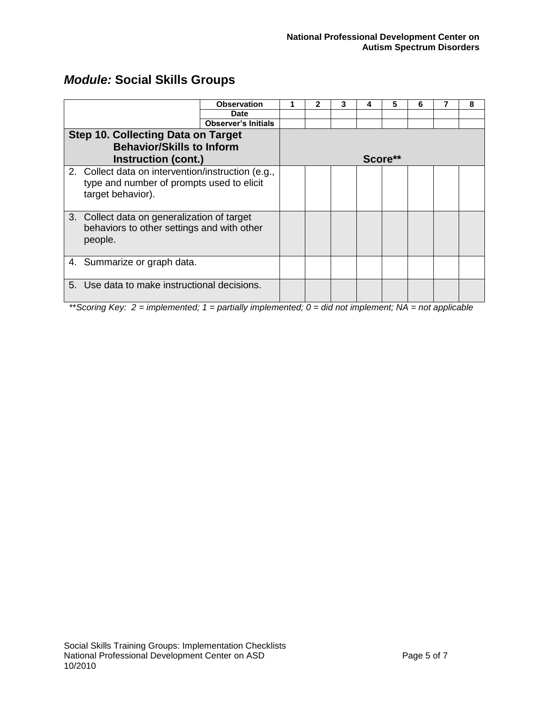|                                                                                                                      |                                             | <b>Observation</b>         |  |  |  | 5       | b | 8 |
|----------------------------------------------------------------------------------------------------------------------|---------------------------------------------|----------------------------|--|--|--|---------|---|---|
|                                                                                                                      |                                             | <b>Date</b>                |  |  |  |         |   |   |
|                                                                                                                      |                                             | <b>Observer's Initials</b> |  |  |  |         |   |   |
|                                                                                                                      | <b>Step 10. Collecting Data on Target</b>   |                            |  |  |  |         |   |   |
|                                                                                                                      | <b>Behavior/Skills to Inform</b>            |                            |  |  |  |         |   |   |
|                                                                                                                      | Instruction (cont.)                         |                            |  |  |  | Score** |   |   |
| 2. Collect data on intervention/instruction (e.g.,<br>type and number of prompts used to elicit<br>target behavior). |                                             |                            |  |  |  |         |   |   |
|                                                                                                                      | 3. Collect data on generalization of target |                            |  |  |  |         |   |   |

| Instruction (cont.)                                                                                                  | Score <sup>**</sup> |  |  |  |  |  |  |  |  |
|----------------------------------------------------------------------------------------------------------------------|---------------------|--|--|--|--|--|--|--|--|
| 2. Collect data on intervention/instruction (e.g.,<br>type and number of prompts used to elicit<br>target behavior). |                     |  |  |  |  |  |  |  |  |
| 3. Collect data on generalization of target<br>behaviors to other settings and with other<br>people.                 |                     |  |  |  |  |  |  |  |  |
| 4. Summarize or graph data.                                                                                          |                     |  |  |  |  |  |  |  |  |
| 5. Use data to make instructional decisions.                                                                         |                     |  |  |  |  |  |  |  |  |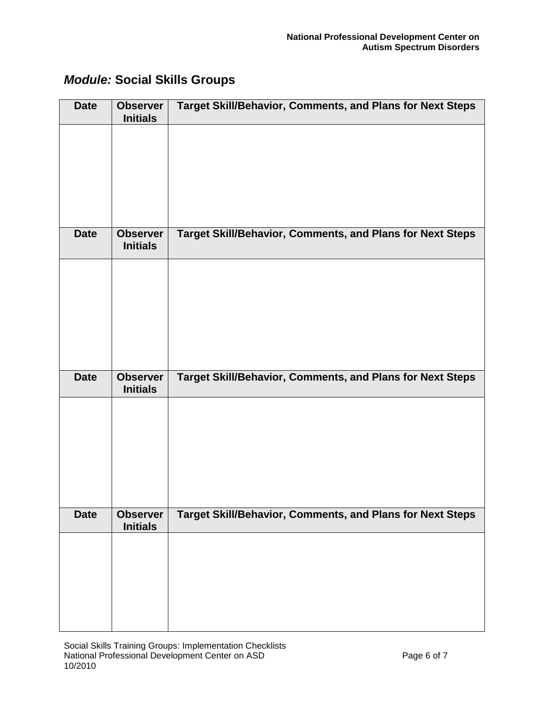| <b>Date</b> | <b>Observer</b><br><b>Initials</b> | <b>Target Skill/Behavior, Comments, and Plans for Next Steps</b> |
|-------------|------------------------------------|------------------------------------------------------------------|
|             |                                    |                                                                  |
|             |                                    |                                                                  |
|             |                                    |                                                                  |
|             |                                    |                                                                  |
| <b>Date</b> | <b>Observer</b><br><b>Initials</b> | Target Skill/Behavior, Comments, and Plans for Next Steps        |
|             |                                    |                                                                  |
|             |                                    |                                                                  |
|             |                                    |                                                                  |
|             |                                    |                                                                  |
| <b>Date</b> | <b>Observer</b><br><b>Initials</b> | <b>Target Skill/Behavior, Comments, and Plans for Next Steps</b> |
|             |                                    |                                                                  |
|             |                                    |                                                                  |
|             |                                    |                                                                  |
|             |                                    |                                                                  |
| <b>Date</b> | <b>Observer</b><br><b>Initials</b> | <b>Target Skill/Behavior, Comments, and Plans for Next Steps</b> |
|             |                                    |                                                                  |
|             |                                    |                                                                  |
|             |                                    |                                                                  |
|             |                                    |                                                                  |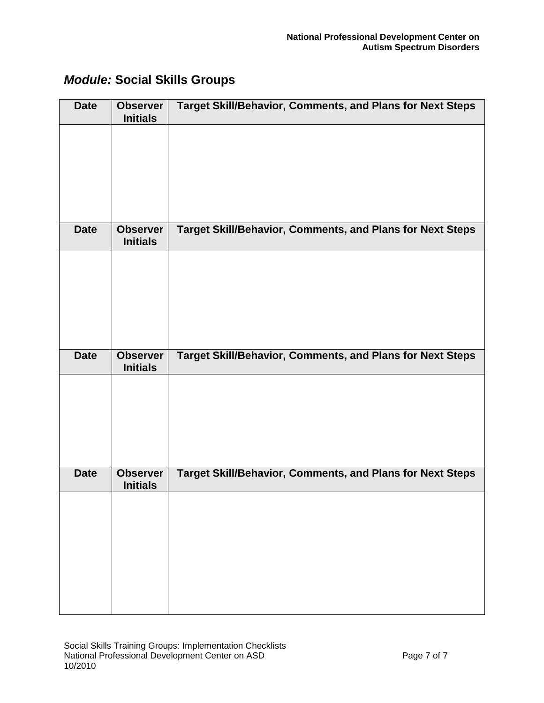| <b>Date</b> | <b>Observer</b><br><b>Initials</b> | <b>Target Skill/Behavior, Comments, and Plans for Next Steps</b> |
|-------------|------------------------------------|------------------------------------------------------------------|
|             |                                    |                                                                  |
|             |                                    |                                                                  |
|             |                                    |                                                                  |
|             |                                    |                                                                  |
| <b>Date</b> | <b>Observer</b><br><b>Initials</b> | Target Skill/Behavior, Comments, and Plans for Next Steps        |
|             |                                    |                                                                  |
|             |                                    |                                                                  |
|             |                                    |                                                                  |
|             |                                    |                                                                  |
| <b>Date</b> | <b>Observer</b><br><b>Initials</b> | <b>Target Skill/Behavior, Comments, and Plans for Next Steps</b> |
|             |                                    |                                                                  |
|             |                                    |                                                                  |
|             |                                    |                                                                  |
| <b>Date</b> |                                    |                                                                  |
|             | <b>Observer</b><br><b>Initials</b> | Target Skill/Behavior, Comments, and Plans for Next Steps        |
|             |                                    |                                                                  |
|             |                                    |                                                                  |
|             |                                    |                                                                  |
|             |                                    |                                                                  |
|             |                                    |                                                                  |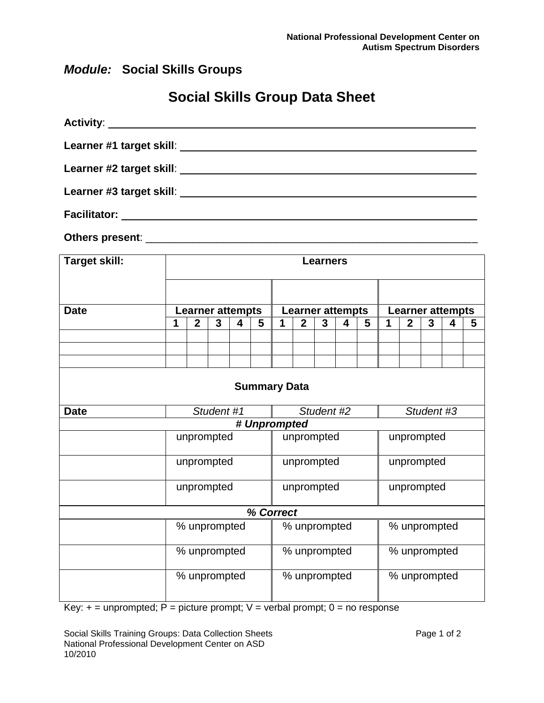# **Social Skills Group Data Sheet**

|                     | Learner #3 target skill:                                                                                             |
|---------------------|----------------------------------------------------------------------------------------------------------------------|
| <b>Facilitator:</b> | <u> 1980 - Johann Barn, amerikan besteman besteman besteman besteman besteman besteman besteman besteman bestema</u> |

**Others present**: \_\_\_\_\_\_\_\_\_\_\_\_\_\_\_\_\_\_\_\_\_\_\_\_\_\_\_\_\_\_\_\_\_\_\_\_\_\_\_\_\_\_\_\_\_\_\_\_\_\_\_\_\_\_\_\_

| <b>Target skill:</b> |                         | <b>Learners</b> |   |              |                         |                     |              |              |            |                         |   |              |   |   |   |
|----------------------|-------------------------|-----------------|---|--------------|-------------------------|---------------------|--------------|--------------|------------|-------------------------|---|--------------|---|---|---|
|                      |                         |                 |   |              |                         |                     |              |              |            |                         |   |              |   |   |   |
| <b>Date</b>          | <b>Learner attempts</b> |                 |   |              | <b>Learner attempts</b> |                     |              |              |            | <b>Learner attempts</b> |   |              |   |   |   |
|                      | 1                       | $\mathbf{2}$    | 3 | 4            | 5                       | 1                   | $\mathbf{2}$ | 3            | 4          | 5                       | 1 | $\mathbf{2}$ | 3 | 4 | 5 |
|                      |                         |                 |   |              |                         |                     |              |              |            |                         |   |              |   |   |   |
|                      |                         |                 |   |              |                         |                     |              |              |            |                         |   |              |   |   |   |
|                      |                         |                 |   |              |                         |                     |              |              |            |                         |   |              |   |   |   |
|                      |                         |                 |   |              |                         | <b>Summary Data</b> |              |              |            |                         |   |              |   |   |   |
| <b>Date</b>          | Student #1              |                 |   | Student #2   |                         |                     |              | Student #3   |            |                         |   |              |   |   |   |
| # Unprompted         |                         |                 |   |              |                         |                     |              |              |            |                         |   |              |   |   |   |
|                      | unprompted              |                 |   | unprompted   |                         |                     |              | unprompted   |            |                         |   |              |   |   |   |
|                      | unprompted              |                 |   | unprompted   |                         |                     |              | unprompted   |            |                         |   |              |   |   |   |
|                      | unprompted              |                 |   | unprompted   |                         |                     |              |              | unprompted |                         |   |              |   |   |   |
| % Correct            |                         |                 |   |              |                         |                     |              |              |            |                         |   |              |   |   |   |
|                      | % unprompted            |                 |   | % unprompted |                         |                     |              | % unprompted |            |                         |   |              |   |   |   |
|                      |                         | % unprompted    |   |              | % unprompted            |                     |              | % unprompted |            |                         |   |              |   |   |   |
|                      | % unprompted            |                 |   | % unprompted |                         |                     | % unprompted |              |            |                         |   |              |   |   |   |

 $Key: + = unprompted; P = picture prompt; V = verbal prompt; 0 = no response$